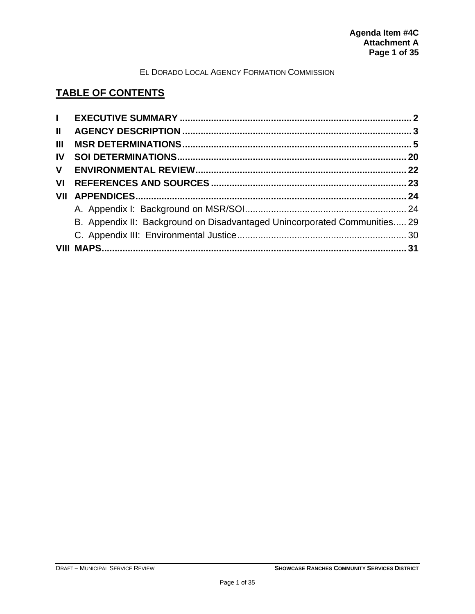## **TABLE OF CONTENTS**

| $\mathbf{L}$ |                                                                           |  |
|--------------|---------------------------------------------------------------------------|--|
| $\mathbf{H}$ |                                                                           |  |
| Ш            |                                                                           |  |
| IV.          |                                                                           |  |
| V.           |                                                                           |  |
| VL           |                                                                           |  |
|              |                                                                           |  |
|              |                                                                           |  |
|              | B. Appendix II: Background on Disadvantaged Unincorporated Communities 29 |  |
|              |                                                                           |  |
|              |                                                                           |  |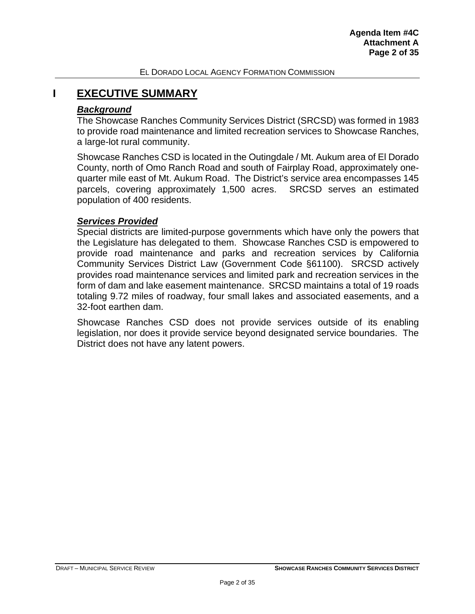## <span id="page-1-0"></span>**I EXECUTIVE SUMMARY**

#### *Background*

The Showcase Ranches Community Services District (SRCSD) was formed in 1983 to provide road maintenance and limited recreation services to Showcase Ranches, a large-lot rural community.

Showcase Ranches CSD is located in the Outingdale / Mt. Aukum area of El Dorado County, north of Omo Ranch Road and south of Fairplay Road, approximately onequarter mile east of Mt. Aukum Road. The District's service area encompasses 145 parcels, covering approximately 1,500 acres. SRCSD serves an estimated population of 400 residents.

#### *Services Provided*

Special districts are limited-purpose governments which have only the powers that the Legislature has delegated to them. Showcase Ranches CSD is empowered to provide road maintenance and parks and recreation services by California Community Services District Law (Government Code §61100). SRCSD actively provides road maintenance services and limited park and recreation services in the form of dam and lake easement maintenance. SRCSD maintains a total of 19 roads totaling 9.72 miles of roadway, four small lakes and associated easements, and a 32-foot earthen dam.

Showcase Ranches CSD does not provide services outside of its enabling legislation, nor does it provide service beyond designated service boundaries. The District does not have any latent powers.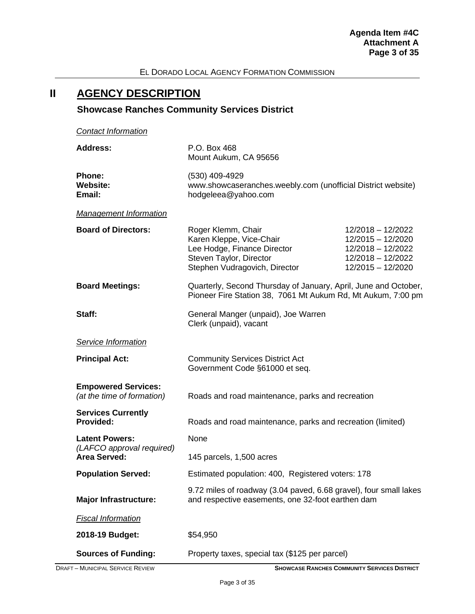# <span id="page-2-0"></span>**II AGENCY DESCRIPTION**

# **Showcase Ranches Community Services District**

*Contact Information*

| <b>Address:</b>                                          | P.O. Box 468<br>Mount Aukum, CA 95656                                                                                                     |                                                                                                       |  |  |  |
|----------------------------------------------------------|-------------------------------------------------------------------------------------------------------------------------------------------|-------------------------------------------------------------------------------------------------------|--|--|--|
| Phone:<br><b>Website:</b><br>Email:                      | (530) 409-4929<br>www.showcaseranches.weebly.com (unofficial District website)<br>hodgeleea@yahoo.com                                     |                                                                                                       |  |  |  |
| <b>Management Information</b>                            |                                                                                                                                           |                                                                                                       |  |  |  |
| <b>Board of Directors:</b>                               | Roger Klemm, Chair<br>Karen Kleppe, Vice-Chair<br>Lee Hodge, Finance Director<br>Steven Taylor, Director<br>Stephen Vudragovich, Director | 12/2018 - 12/2022<br>12/2015 - 12/2020<br>12/2018 - 12/2022<br>12/2018 - 12/2022<br>12/2015 - 12/2020 |  |  |  |
| <b>Board Meetings:</b>                                   | Quarterly, Second Thursday of January, April, June and October,<br>Pioneer Fire Station 38, 7061 Mt Aukum Rd, Mt Aukum, 7:00 pm           |                                                                                                       |  |  |  |
| Staff:                                                   | General Manger (unpaid), Joe Warren<br>Clerk (unpaid), vacant                                                                             |                                                                                                       |  |  |  |
| Service Information                                      |                                                                                                                                           |                                                                                                       |  |  |  |
| <b>Principal Act:</b>                                    | <b>Community Services District Act</b><br>Government Code §61000 et seq.                                                                  |                                                                                                       |  |  |  |
| <b>Empowered Services:</b><br>(at the time of formation) | Roads and road maintenance, parks and recreation                                                                                          |                                                                                                       |  |  |  |
| <b>Services Currently</b><br>Provided:                   | Roads and road maintenance, parks and recreation (limited)                                                                                |                                                                                                       |  |  |  |
| <b>Latent Powers:</b><br>(LAFCO approval required)       | None                                                                                                                                      |                                                                                                       |  |  |  |
| <b>Area Served:</b>                                      | 145 parcels, 1,500 acres                                                                                                                  |                                                                                                       |  |  |  |
| <b>Population Served:</b>                                | Estimated population: 400, Registered voters: 178                                                                                         |                                                                                                       |  |  |  |
| <b>Major Infrastructure:</b>                             | 9.72 miles of roadway (3.04 paved, 6.68 gravel), four small lakes<br>and respective easements, one 32-foot earthen dam                    |                                                                                                       |  |  |  |
| <b>Fiscal Information</b>                                |                                                                                                                                           |                                                                                                       |  |  |  |
| 2018-19 Budget:                                          | \$54,950                                                                                                                                  |                                                                                                       |  |  |  |
| <b>Sources of Funding:</b>                               | Property taxes, special tax (\$125 per parcel)                                                                                            |                                                                                                       |  |  |  |

**DRAFT – MUNICIPAL SERVICE REVIEW <b>SHOWCASE RANCHES COMMUNITY SERVICES DISTRICT**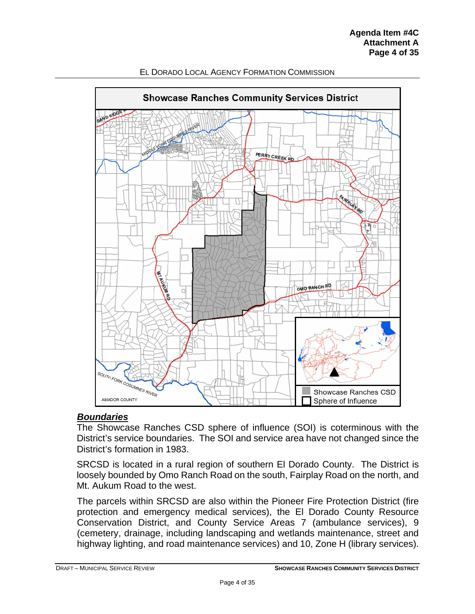

#### *Boundaries*

The Showcase Ranches CSD sphere of influence (SOI) is coterminous with the District's service boundaries. The SOI and service area have not changed since the District's formation in 1983.

SRCSD is located in a rural region of southern El Dorado County. The District is loosely bounded by Omo Ranch Road on the south, Fairplay Road on the north, and Mt. Aukum Road to the west.

The parcels within SRCSD are also within the Pioneer Fire Protection District (fire protection and emergency medical services), the El Dorado County Resource Conservation District, and County Service Areas 7 (ambulance services), 9 (cemetery, drainage, including landscaping and wetlands maintenance, street and highway lighting, and road maintenance services) and 10, Zone H (library services).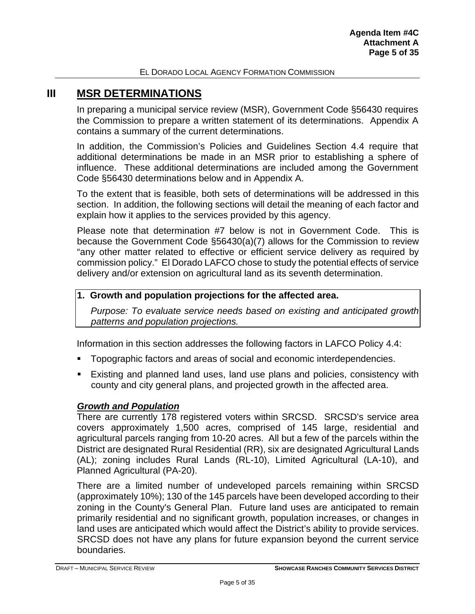## <span id="page-4-0"></span>**III MSR DETERMINATIONS**

In preparing a municipal service review (MSR), Government Code §56430 requires the Commission to prepare a written statement of its determinations. Appendix A contains a summary of the current determinations.

In addition, the Commission's Policies and Guidelines Section 4.4 require that additional determinations be made in an MSR prior to establishing a sphere of influence. These additional determinations are included among the Government Code §56430 determinations below and in Appendix A.

To the extent that is feasible, both sets of determinations will be addressed in this section. In addition, the following sections will detail the meaning of each factor and explain how it applies to the services provided by this agency.

Please note that determination #7 below is not in Government Code. This is because the Government Code §56430(a)(7) allows for the Commission to review "any other matter related to effective or efficient service delivery as required by commission policy." El Dorado LAFCO chose to study the potential effects of service delivery and/or extension on agricultural land as its seventh determination.

#### **1. Growth and population projections for the affected area.**

*Purpose: To evaluate service needs based on existing and anticipated growth patterns and population projections.*

Information in this section addresses the following factors in LAFCO Policy 4.4:

- Topographic factors and areas of social and economic interdependencies.
- Existing and planned land uses, land use plans and policies, consistency with county and city general plans, and projected growth in the affected area.

## *Growth and Population*

There are currently 178 registered voters within SRCSD. SRCSD's service area covers approximately 1,500 acres, comprised of 145 large, residential and agricultural parcels ranging from 10-20 acres. All but a few of the parcels within the District are designated Rural Residential (RR), six are designated Agricultural Lands (AL); zoning includes Rural Lands (RL-10), Limited Agricultural (LA-10), and Planned Agricultural (PA-20).

There are a limited number of undeveloped parcels remaining within SRCSD (approximately 10%); 130 of the 145 parcels have been developed according to their zoning in the County's General Plan. Future land uses are anticipated to remain primarily residential and no significant growth, population increases, or changes in land uses are anticipated which would affect the District's ability to provide services. SRCSD does not have any plans for future expansion beyond the current service boundaries.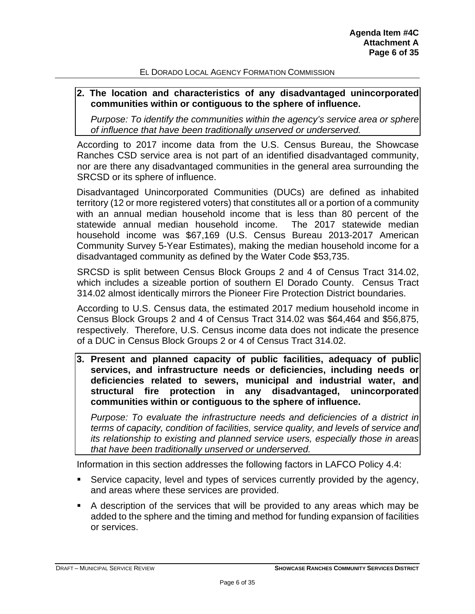#### **2. The location and characteristics of any disadvantaged unincorporated communities within or contiguous to the sphere of influence.**

*Purpose: To identify the communities within the agency's service area or sphere of influence that have been traditionally unserved or underserved.*

According to 2017 income data from the U.S. Census Bureau, the Showcase Ranches CSD service area is not part of an identified disadvantaged community, nor are there any disadvantaged communities in the general area surrounding the SRCSD or its sphere of influence.

Disadvantaged Unincorporated Communities (DUCs) are defined as inhabited territory (12 or more registered voters) that constitutes all or a portion of a community with an annual median household income that is less than 80 percent of the statewide annual median household income. The 2017 statewide median household income was \$67,169 (U.S. Census Bureau 2013-2017 American Community Survey 5-Year Estimates), making the median household income for a disadvantaged community as defined by the Water Code \$53,735.

SRCSD is split between Census Block Groups 2 and 4 of Census Tract 314.02, which includes a sizeable portion of southern El Dorado County. Census Tract 314.02 almost identically mirrors the Pioneer Fire Protection District boundaries.

According to U.S. Census data, the estimated 2017 medium household income in Census Block Groups 2 and 4 of Census Tract 314.02 was \$64,464 and \$56,875, respectively. Therefore, U.S. Census income data does not indicate the presence of a DUC in Census Block Groups 2 or 4 of Census Tract 314.02.

**3. Present and planned capacity of public facilities, adequacy of public services, and infrastructure needs or deficiencies, including needs or deficiencies related to sewers, municipal and industrial water, and structural fire protection in any disadvantaged, unincorporated communities within or contiguous to the sphere of influence.**

*Purpose: To evaluate the infrastructure needs and deficiencies of a district in terms of capacity, condition of facilities, service quality, and levels of service and its relationship to existing and planned service users, especially those in areas that have been traditionally unserved or underserved.*

Information in this section addresses the following factors in LAFCO Policy 4.4:

- Service capacity, level and types of services currently provided by the agency, and areas where these services are provided.
- A description of the services that will be provided to any areas which may be added to the sphere and the timing and method for funding expansion of facilities or services.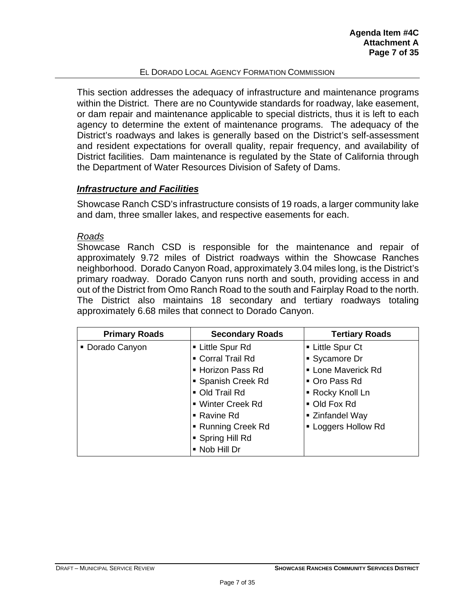This section addresses the adequacy of infrastructure and maintenance programs within the District. There are no Countywide standards for roadway, lake easement, or dam repair and maintenance applicable to special districts, thus it is left to each agency to determine the extent of maintenance programs. The adequacy of the District's roadways and lakes is generally based on the District's self-assessment and resident expectations for overall quality, repair frequency, and availability of District facilities. Dam maintenance is regulated by the State of California through the Department of Water Resources Division of Safety of Dams.

## *Infrastructure and Facilities*

Showcase Ranch CSD's infrastructure consists of 19 roads, a larger community lake and dam, three smaller lakes, and respective easements for each.

#### *Roads*

Showcase Ranch CSD is responsible for the maintenance and repair of approximately 9.72 miles of District roadways within the Showcase Ranches neighborhood. Dorado Canyon Road, approximately 3.04 miles long, is the District's primary roadway. Dorado Canyon runs north and south, providing access in and out of the District from Omo Ranch Road to the south and Fairplay Road to the north. The District also maintains 18 secondary and tertiary roadways totaling approximately 6.68 miles that connect to Dorado Canyon.

| <b>Primary Roads</b> | <b>Secondary Roads</b> | <b>Tertiary Roads</b>     |
|----------------------|------------------------|---------------------------|
| • Dorado Canyon      | ■ Little Spur Rd       | • Little Spur Ct          |
|                      | Corral Trail Rd        | • Sycamore Dr             |
|                      | - Horizon Pass Rd      | <b>- Lone Maverick Rd</b> |
|                      | • Spanish Creek Rd     | Oro Pass Rd               |
|                      | Old Trail Rd           | • Rocky Knoll Ln          |
|                      | ■ Winter Creek Rd      | • Old Fox Rd              |
|                      | ■ Ravine Rd            | ■ Zinfandel Way           |
|                      | ■ Running Creek Rd     | • Loggers Hollow Rd       |
|                      | • Spring Hill Rd       |                           |
|                      | • Nob Hill Dr          |                           |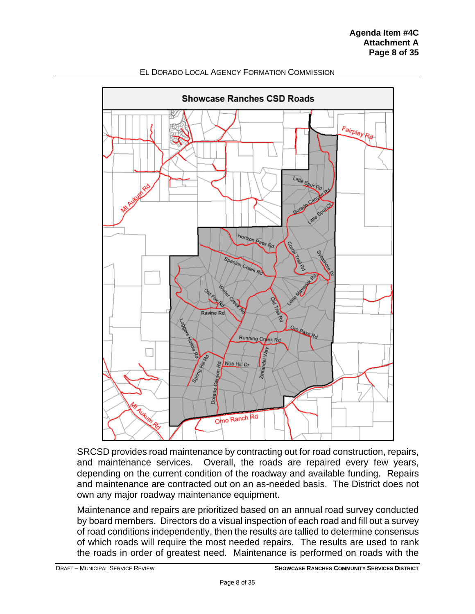

SRCSD provides road maintenance by contracting out for road construction, repairs, and maintenance services. Overall, the roads are repaired every few years, depending on the current condition of the roadway and available funding. Repairs and maintenance are contracted out on an as-needed basis. The District does not own any major roadway maintenance equipment.

Maintenance and repairs are prioritized based on an annual road survey conducted by board members. Directors do a visual inspection of each road and fill out a survey of road conditions independently, then the results are tallied to determine consensus of which roads will require the most needed repairs. The results are used to rank the roads in order of greatest need. Maintenance is performed on roads with the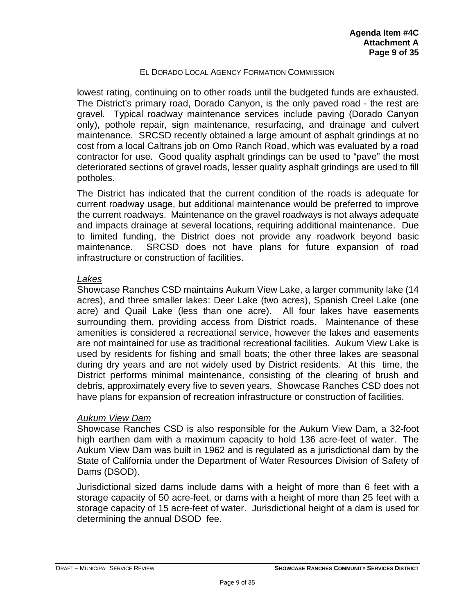lowest rating, continuing on to other roads until the budgeted funds are exhausted. The District's primary road, Dorado Canyon, is the only paved road - the rest are gravel. Typical roadway maintenance services include paving (Dorado Canyon only), pothole repair, sign maintenance, resurfacing, and drainage and culvert maintenance. SRCSD recently obtained a large amount of asphalt grindings at no cost from a local Caltrans job on Omo Ranch Road, which was evaluated by a road contractor for use. Good quality asphalt grindings can be used to "pave" the most deteriorated sections of gravel roads, lesser quality asphalt grindings are used to fill potholes.

The District has indicated that the current condition of the roads is adequate for current roadway usage, but additional maintenance would be preferred to improve the current roadways. Maintenance on the gravel roadways is not always adequate and impacts drainage at several locations, requiring additional maintenance. Due to limited funding, the District does not provide any roadwork beyond basic maintenance. SRCSD does not have plans for future expansion of road infrastructure or construction of facilities.

#### *Lakes*

Showcase Ranches CSD maintains Aukum View Lake, a larger community lake (14 acres), and three smaller lakes: Deer Lake (two acres), Spanish Creel Lake (one acre) and Quail Lake (less than one acre). All four lakes have easements surrounding them, providing access from District roads. Maintenance of these amenities is considered a recreational service, however the lakes and easements are not maintained for use as traditional recreational facilities. Aukum View Lake is used by residents for fishing and small boats; the other three lakes are seasonal during dry years and are not widely used by District residents. At this time, the District performs minimal maintenance, consisting of the clearing of brush and debris, approximately every five to seven years. Showcase Ranches CSD does not have plans for expansion of recreation infrastructure or construction of facilities.

## *Aukum View Dam*

Showcase Ranches CSD is also responsible for the Aukum View Dam, a 32-foot high earthen dam with a maximum capacity to hold 136 acre-feet of water. The Aukum View Dam was built in 1962 and is regulated as a jurisdictional dam by the State of California under the Department of Water Resources Division of Safety of Dams (DSOD).

Jurisdictional sized dams include dams with a height of more than 6 feet with a storage capacity of 50 acre-feet, or dams with a height of more than 25 feet with a storage capacity of 15 acre-feet of water. Jurisdictional height of a dam is used for determining the annual DSOD fee.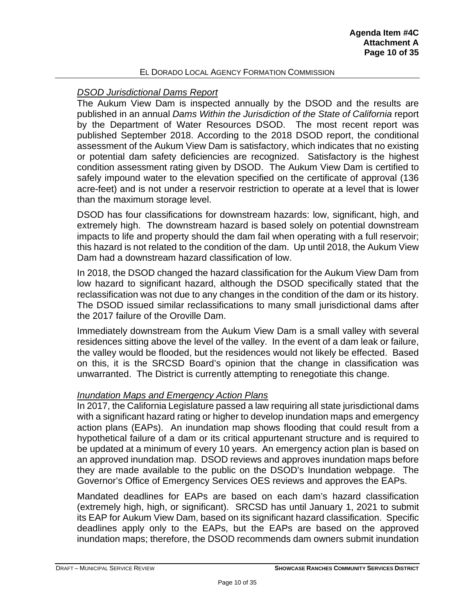### *DSOD Jurisdictional Dams Report*

The Aukum View Dam is inspected annually by the DSOD and the results are published in an annual *Dams Within the Jurisdiction of the State of California* report by the Department of Water Resources DSOD. The most recent report was published September 2018. According to the 2018 DSOD report, the conditional assessment of the Aukum View Dam is satisfactory, which indicates that no existing or potential dam safety deficiencies are recognized. Satisfactory is the highest condition assessment rating given by DSOD. The Aukum View Dam is certified to safely impound water to the elevation specified on the certificate of approval (136 acre-feet) and is not under a reservoir restriction to operate at a level that is lower than the maximum storage level.

DSOD has four classifications for downstream hazards: low, significant, high, and extremely high. The downstream hazard is based solely on potential downstream impacts to life and property should the dam fail when operating with a full reservoir; this hazard is not related to the condition of the dam. Up until 2018, the Aukum View Dam had a downstream hazard classification of low.

In 2018, the DSOD changed the hazard classification for the Aukum View Dam from low hazard to significant hazard, although the DSOD specifically stated that the reclassification was not due to any changes in the condition of the dam or its history. The DSOD issued similar reclassifications to many small jurisdictional dams after the 2017 failure of the Oroville Dam.

Immediately downstream from the Aukum View Dam is a small valley with several residences sitting above the level of the valley. In the event of a dam leak or failure, the valley would be flooded, but the residences would not likely be effected. Based on this, it is the SRCSD Board's opinion that the change in classification was unwarranted. The District is currently attempting to renegotiate this change.

#### *Inundation Maps and Emergency Action Plans*

In 2017, the California Legislature passed a law requiring all state jurisdictional dams with a significant hazard rating or higher to develop inundation maps and emergency action plans (EAPs). An inundation map shows flooding that could result from a hypothetical failure of a dam or its critical appurtenant structure and is required to be updated at a minimum of every 10 years. An emergency action plan is based on an approved inundation map. DSOD reviews and approves inundation maps before they are made available to the public on the DSOD's Inundation webpage. The Governor's Office of Emergency Services OES reviews and approves the EAPs.

Mandated deadlines for EAPs are based on each dam's hazard classification (extremely high, high, or significant). SRCSD has until January 1, 2021 to submit its EAP for Aukum View Dam, based on its significant hazard classification. Specific deadlines apply only to the EAPs, but the EAPs are based on the approved inundation maps; therefore, the DSOD recommends dam owners submit inundation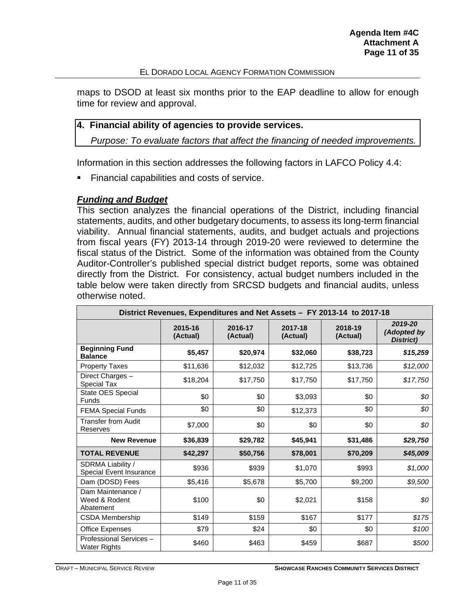maps to DSOD at least six months prior to the EAP deadline to allow for enough time for review and approval.

#### **4. Financial ability of agencies to provide services.**

*Purpose: To evaluate factors that affect the financing of needed improvements.*

Information in this section addresses the following factors in LAFCO Policy 4.4:

**Financial capabilities and costs of service.** 

#### *Funding and Budget*

This section analyzes the financial operations of the District, including financial statements, audits, and other budgetary documents, to assess its long-term financial viability. Annual financial statements, audits, and budget actuals and projections from fiscal years (FY) 2013-14 through 2019-20 were reviewed to determine the fiscal status of the District. Some of the information was obtained from the County Auditor-Controller's published special district budget reports, some was obtained directly from the District. For consistency, actual budget numbers included in the table below were taken directly from SRCSD budgets and financial audits, unless otherwise noted.

| District Revenues, Expenditures and Net Assets - FY 2013-14 to 2017-18 |                     |                                            |          |                     |                                     |  |  |  |  |
|------------------------------------------------------------------------|---------------------|--------------------------------------------|----------|---------------------|-------------------------------------|--|--|--|--|
|                                                                        | 2015-16<br>(Actual) | 2016-17<br>2017-18<br>(Actual)<br>(Actual) |          | 2018-19<br>(Actual) | 2019-20<br>(Adopted by<br>District) |  |  |  |  |
| <b>Beginning Fund</b><br><b>Balance</b>                                | \$5,457             | \$20,974                                   | \$32,060 | \$38,723            | \$15,259                            |  |  |  |  |
| <b>Property Taxes</b>                                                  | \$11,636            | \$12,032                                   | \$12,725 | \$13,736            | \$12,000                            |  |  |  |  |
| Direct Charges -<br>Special Tax                                        | \$18,204            | \$17,750                                   | \$17,750 | \$17,750            | \$17,750                            |  |  |  |  |
| State OES Special<br>Funds                                             | \$0                 | \$0                                        | \$3,093  | \$0                 | \$0                                 |  |  |  |  |
| <b>FEMA Special Funds</b>                                              | \$0                 | \$0                                        | \$12,373 | \$0                 | \$0                                 |  |  |  |  |
| <b>Transfer from Audit</b><br><b>Reserves</b>                          | \$7,000             | \$0                                        | \$0      | \$0                 | \$0                                 |  |  |  |  |
| <b>New Revenue</b>                                                     | \$36,839            | \$29,782                                   | \$45,941 | \$31,486            | \$29,750                            |  |  |  |  |
| <b>TOTAL REVENUE</b>                                                   | \$42,297            | \$50,756                                   | \$78,001 | \$70,209            | \$45,009                            |  |  |  |  |
| SDRMA Liability /<br>Special Event Insurance                           | \$936               | \$939                                      | \$1,070  | \$993               | \$1,000                             |  |  |  |  |
| Dam (DOSD) Fees                                                        | \$5,416             | \$5,678                                    | \$5,700  | \$9,200             | \$9,500                             |  |  |  |  |
| Dam Maintenance /<br>Weed & Rodent<br>Abatement                        | \$100               | \$0                                        | \$2,021  | \$158               | \$0                                 |  |  |  |  |
| <b>CSDA Membership</b>                                                 | \$149               | \$159                                      | \$167    | \$177               | \$175                               |  |  |  |  |
| <b>Office Expenses</b>                                                 | \$79                | \$24                                       | \$0      | \$0                 | \$100                               |  |  |  |  |
| Professional Services-<br>Water Rights                                 | \$460               | \$463                                      | \$459    | \$687               | \$500                               |  |  |  |  |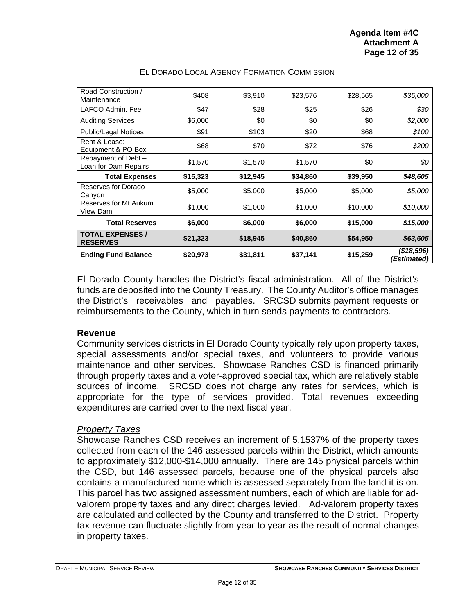| Road Construction /<br>Maintenance         | \$408    | \$3,910  | \$23,576 | \$28,565 | \$35,000                  |
|--------------------------------------------|----------|----------|----------|----------|---------------------------|
| LAFCO Admin, Fee                           | \$47     | \$28     | \$25     | \$26     | \$30                      |
| <b>Auditing Services</b>                   | \$6,000  | \$0      | \$0      | \$0      | \$2,000                   |
| <b>Public/Legal Notices</b>                | \$91     | \$103    | \$20     | \$68     | \$100                     |
| Rent & Lease:<br>Equipment & PO Box        | \$68     | \$70     | \$72     | \$76     | \$200                     |
| Repayment of Debt-<br>Loan for Dam Repairs | \$1,570  | \$1,570  | \$1,570  | \$0      | \$0                       |
| <b>Total Expenses</b>                      | \$15,323 | \$12,945 | \$34,860 | \$39,950 | \$48,605                  |
| Reserves for Dorado<br>Canyon              | \$5,000  | \$5,000  | \$5,000  | \$5,000  | \$5,000                   |
| Reserves for Mt Aukum<br>View Dam          | \$1,000  | \$1,000  | \$1,000  | \$10,000 | \$10,000                  |
| <b>Total Reserves</b>                      | \$6,000  | \$6,000  | \$6,000  | \$15,000 | \$15,000                  |
| <b>TOTAL EXPENSES /</b><br><b>RESERVES</b> | \$21,323 | \$18,945 | \$40,860 | \$54,950 | \$63,605                  |
| <b>Ending Fund Balance</b>                 | \$20,973 | \$31,811 | \$37,141 | \$15,259 | (\$18,596)<br>(Estimated) |

El Dorado County handles the District's fiscal administration. All of the District's funds are deposited into the County Treasury. The County Auditor's office manages the District's receivables and payables. SRCSD submits payment requests or reimbursements to the County, which in turn sends payments to contractors.

#### **Revenue**

Community services districts in El Dorado County typically rely upon property taxes, special assessments and/or special taxes, and volunteers to provide various maintenance and other services. Showcase Ranches CSD is financed primarily through property taxes and a voter-approved special tax, which are relatively stable sources of income. SRCSD does not charge any rates for services, which is appropriate for the type of services provided. Total revenues exceeding expenditures are carried over to the next fiscal year.

#### *Property Taxes*

Showcase Ranches CSD receives an increment of 5.1537% of the property taxes collected from each of the 146 assessed parcels within the District, which amounts to approximately \$12,000-\$14,000 annually. There are 145 physical parcels within the CSD, but 146 assessed parcels, because one of the physical parcels also contains a manufactured home which is assessed separately from the land it is on. This parcel has two assigned assessment numbers, each of which are liable for advalorem property taxes and any direct charges levied. Ad-valorem property taxes are calculated and collected by the County and transferred to the District. Property tax revenue can fluctuate slightly from year to year as the result of normal changes in property taxes.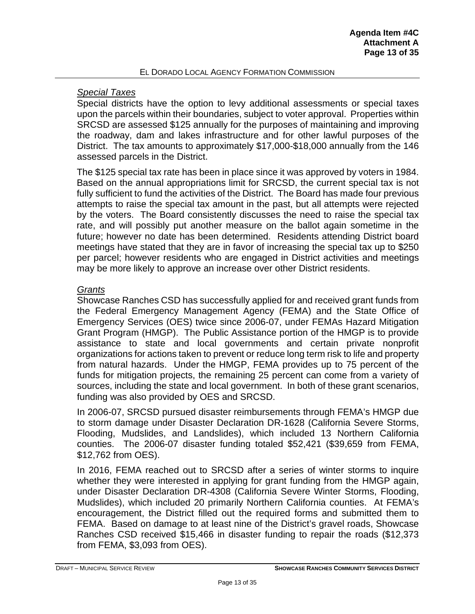## *Special Taxes*

Special districts have the option to levy additional assessments or special taxes upon the parcels within their boundaries, subject to voter approval. Properties within SRCSD are assessed \$125 annually for the purposes of maintaining and improving the roadway, dam and lakes infrastructure and for other lawful purposes of the District. The tax amounts to approximately \$17,000-\$18,000 annually from the 146 assessed parcels in the District.

The \$125 special tax rate has been in place since it was approved by voters in 1984. Based on the annual appropriations limit for SRCSD, the current special tax is not fully sufficient to fund the activities of the District. The Board has made four previous attempts to raise the special tax amount in the past, but all attempts were rejected by the voters. The Board consistently discusses the need to raise the special tax rate, and will possibly put another measure on the ballot again sometime in the future; however no date has been determined. Residents attending District board meetings have stated that they are in favor of increasing the special tax up to \$250 per parcel; however residents who are engaged in District activities and meetings may be more likely to approve an increase over other District residents.

## *Grants*

Showcase Ranches CSD has successfully applied for and received grant funds from the Federal Emergency Management Agency (FEMA) and the State Office of Emergency Services (OES) twice since 2006-07, under FEMAs Hazard Mitigation Grant Program (HMGP). The Public Assistance portion of the HMGP is to provide assistance to state and local governments and certain private nonprofit organizations for actions taken to prevent or reduce long term risk to life and property from natural hazards. Under the HMGP, FEMA provides up to 75 percent of the funds for mitigation projects, the remaining 25 percent can come from a variety of sources, including the state and local government. In both of these grant scenarios, funding was also provided by OES and SRCSD.

In 2006-07, SRCSD pursued disaster reimbursements through FEMA's HMGP due to storm damage under Disaster Declaration DR-1628 (California Severe Storms, Flooding, Mudslides, and Landslides), which included 13 Northern California counties. The 2006-07 disaster funding totaled \$52,421 (\$39,659 from FEMA, \$12,762 from OES).

In 2016, FEMA reached out to SRCSD after a series of winter storms to inquire whether they were interested in applying for grant funding from the HMGP again, under Disaster Declaration DR-4308 (California Severe Winter Storms, Flooding, Mudslides), which included 20 primarily Northern California counties. At FEMA's encouragement, the District filled out the required forms and submitted them to FEMA. Based on damage to at least nine of the District's gravel roads, Showcase Ranches CSD received \$15,466 in disaster funding to repair the roads (\$12,373 from FEMA, \$3,093 from OES).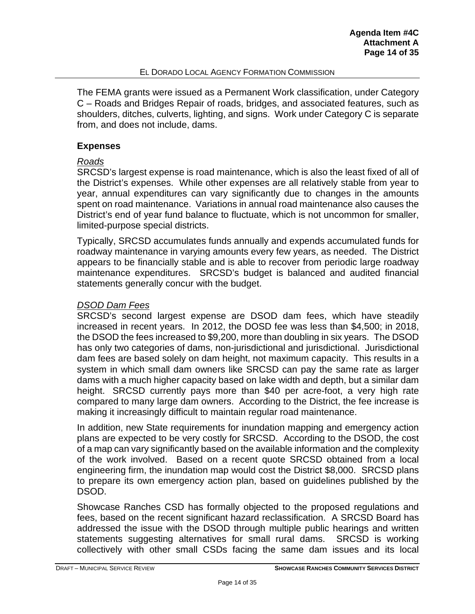The FEMA grants were issued as a Permanent Work classification, under Category C – Roads and Bridges Repair of roads, bridges, and associated features, such as shoulders, ditches, culverts, lighting, and signs. Work under Category C is separate from, and does not include, dams.

## **Expenses**

## *Roads*

SRCSD's largest expense is road maintenance, which is also the least fixed of all of the District's expenses. While other expenses are all relatively stable from year to year, annual expenditures can vary significantly due to changes in the amounts spent on road maintenance. Variations in annual road maintenance also causes the District's end of year fund balance to fluctuate, which is not uncommon for smaller, limited-purpose special districts.

Typically, SRCSD accumulates funds annually and expends accumulated funds for roadway maintenance in varying amounts every few years, as needed. The District appears to be financially stable and is able to recover from periodic large roadway maintenance expenditures. SRCSD's budget is balanced and audited financial statements generally concur with the budget.

## *DSOD Dam Fees*

SRCSD's second largest expense are DSOD dam fees, which have steadily increased in recent years. In 2012, the DOSD fee was less than \$4,500; in 2018, the DSOD the fees increased to \$9,200, more than doubling in six years. The DSOD has only two categories of dams, non-jurisdictional and jurisdictional. Jurisdictional dam fees are based solely on dam height, not maximum capacity. This results in a system in which small dam owners like SRCSD can pay the same rate as larger dams with a much higher capacity based on lake width and depth, but a similar dam height. SRCSD currently pays more than \$40 per acre-foot, a very high rate compared to many large dam owners. According to the District, the fee increase is making it increasingly difficult to maintain regular road maintenance.

In addition, new State requirements for inundation mapping and emergency action plans are expected to be very costly for SRCSD. According to the DSOD, the cost of a map can vary significantly based on the available information and the complexity of the work involved. Based on a recent quote SRCSD obtained from a local engineering firm, the inundation map would cost the District \$8,000. SRCSD plans to prepare its own emergency action plan, based on guidelines published by the DSOD.

Showcase Ranches CSD has formally objected to the proposed regulations and fees, based on the recent significant hazard reclassification. A SRCSD Board has addressed the issue with the DSOD through multiple public hearings and written statements suggesting alternatives for small rural dams. SRCSD is working collectively with other small CSDs facing the same dam issues and its local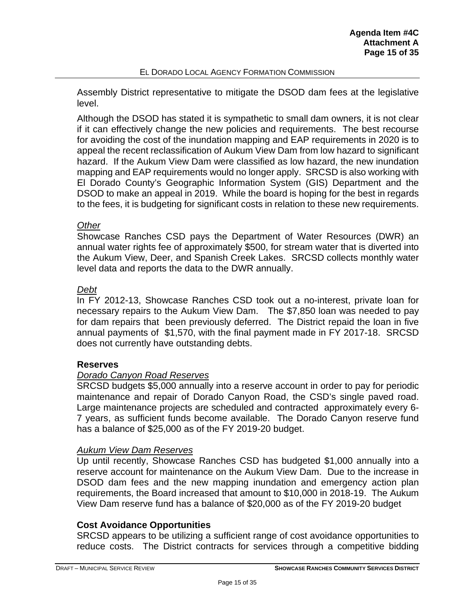Assembly District representative to mitigate the DSOD dam fees at the legislative level.

Although the DSOD has stated it is sympathetic to small dam owners, it is not clear if it can effectively change the new policies and requirements. The best recourse for avoiding the cost of the inundation mapping and EAP requirements in 2020 is to appeal the recent reclassification of Aukum View Dam from low hazard to significant hazard. If the Aukum View Dam were classified as low hazard, the new inundation mapping and EAP requirements would no longer apply. SRCSD is also working with El Dorado County's Geographic Information System (GIS) Department and the DSOD to make an appeal in 2019. While the board is hoping for the best in regards to the fees, it is budgeting for significant costs in relation to these new requirements.

## *Other*

Showcase Ranches CSD pays the Department of Water Resources (DWR) an annual water rights fee of approximately \$500, for stream water that is diverted into the Aukum View, Deer, and Spanish Creek Lakes. SRCSD collects monthly water level data and reports the data to the DWR annually.

## *Debt*

In FY 2012-13, Showcase Ranches CSD took out a no-interest, private loan for necessary repairs to the Aukum View Dam. The \$7,850 loan was needed to pay for dam repairs that been previously deferred. The District repaid the loan in five annual payments of \$1,570, with the final payment made in FY 2017-18. SRCSD does not currently have outstanding debts.

## **Reserves**

## *Dorado Canyon Road Reserves*

SRCSD budgets \$5,000 annually into a reserve account in order to pay for periodic maintenance and repair of Dorado Canyon Road, the CSD's single paved road. Large maintenance projects are scheduled and contracted approximately every 6- 7 years, as sufficient funds become available. The Dorado Canyon reserve fund has a balance of \$25,000 as of the FY 2019-20 budget.

#### *Aukum View Dam Reserves*

Up until recently, Showcase Ranches CSD has budgeted \$1,000 annually into a reserve account for maintenance on the Aukum View Dam. Due to the increase in DSOD dam fees and the new mapping inundation and emergency action plan requirements, the Board increased that amount to \$10,000 in 2018-19. The Aukum View Dam reserve fund has a balance of \$20,000 as of the FY 2019-20 budget

#### **Cost Avoidance Opportunities**

SRCSD appears to be utilizing a sufficient range of cost avoidance opportunities to reduce costs. The District contracts for services through a competitive bidding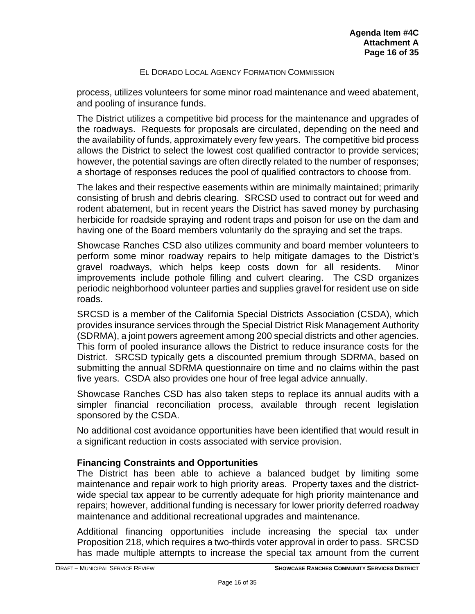process, utilizes volunteers for some minor road maintenance and weed abatement, and pooling of insurance funds.

The District utilizes a competitive bid process for the maintenance and upgrades of the roadways. Requests for proposals are circulated, depending on the need and the availability of funds, approximately every few years. The competitive bid process allows the District to select the lowest cost qualified contractor to provide services; however, the potential savings are often directly related to the number of responses; a shortage of responses reduces the pool of qualified contractors to choose from.

The lakes and their respective easements within are minimally maintained; primarily consisting of brush and debris clearing. SRCSD used to contract out for weed and rodent abatement, but in recent years the District has saved money by purchasing herbicide for roadside spraying and rodent traps and poison for use on the dam and having one of the Board members voluntarily do the spraying and set the traps.

Showcase Ranches CSD also utilizes community and board member volunteers to perform some minor roadway repairs to help mitigate damages to the District's gravel roadways, which helps keep costs down for all residents. Minor improvements include pothole filling and culvert clearing. The CSD organizes periodic neighborhood volunteer parties and supplies gravel for resident use on side roads.

SRCSD is a member of the California Special Districts Association (CSDA), which provides insurance services through the Special District Risk Management Authority (SDRMA), a joint powers agreement among 200 special districts and other agencies. This form of pooled insurance allows the District to reduce insurance costs for the District. SRCSD typically gets a discounted premium through SDRMA, based on submitting the annual SDRMA questionnaire on time and no claims within the past five years. CSDA also provides one hour of free legal advice annually.

Showcase Ranches CSD has also taken steps to replace its annual audits with a simpler financial reconciliation process, available through recent legislation sponsored by the CSDA.

No additional cost avoidance opportunities have been identified that would result in a significant reduction in costs associated with service provision.

## **Financing Constraints and Opportunities**

The District has been able to achieve a balanced budget by limiting some maintenance and repair work to high priority areas. Property taxes and the districtwide special tax appear to be currently adequate for high priority maintenance and repairs; however, additional funding is necessary for lower priority deferred roadway maintenance and additional recreational upgrades and maintenance.

Additional financing opportunities include increasing the special tax under Proposition 218, which requires a two-thirds voter approval in order to pass. SRCSD has made multiple attempts to increase the special tax amount from the current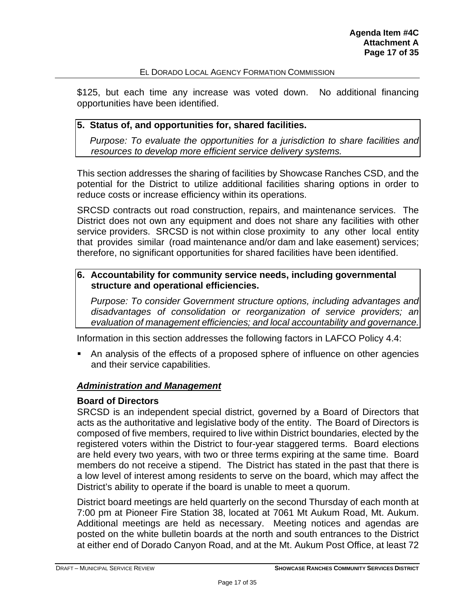\$125, but each time any increase was voted down. No additional financing opportunities have been identified.

#### **5. Status of, and opportunities for, shared facilities.**

*Purpose: To evaluate the opportunities for a jurisdiction to share facilities and resources to develop more efficient service delivery systems.*

This section addresses the sharing of facilities by Showcase Ranches CSD, and the potential for the District to utilize additional facilities sharing options in order to reduce costs or increase efficiency within its operations.

SRCSD contracts out road construction, repairs, and maintenance services. The District does not own any equipment and does not share any facilities with other service providers. SRCSD is not within close proximity to any other local entity that provides similar (road maintenance and/or dam and lake easement) services; therefore, no significant opportunities for shared facilities have been identified.

#### **6. Accountability for community service needs, including governmental structure and operational efficiencies.**

*Purpose: To consider Government structure options, including advantages and disadvantages of consolidation or reorganization of service providers; an evaluation of management efficiencies; and local accountability and governance.*

Information in this section addresses the following factors in LAFCO Policy 4.4:

 An analysis of the effects of a proposed sphere of influence on other agencies and their service capabilities.

#### *Administration and Management*

#### **Board of Directors**

SRCSD is an independent special district, governed by a Board of Directors that acts as the authoritative and legislative body of the entity. The Board of Directors is composed of five members, required to live within District boundaries, elected by the registered voters within the District to four-year staggered terms. Board elections are held every two years, with two or three terms expiring at the same time. Board members do not receive a stipend. The District has stated in the past that there is a low level of interest among residents to serve on the board, which may affect the District's ability to operate if the board is unable to meet a quorum.

District board meetings are held quarterly on the second Thursday of each month at 7:00 pm at Pioneer Fire Station 38, located at 7061 Mt Aukum Road, Mt. Aukum. Additional meetings are held as necessary. Meeting notices and agendas are posted on the white bulletin boards at the north and south entrances to the District at either end of Dorado Canyon Road, and at the Mt. Aukum Post Office, at least 72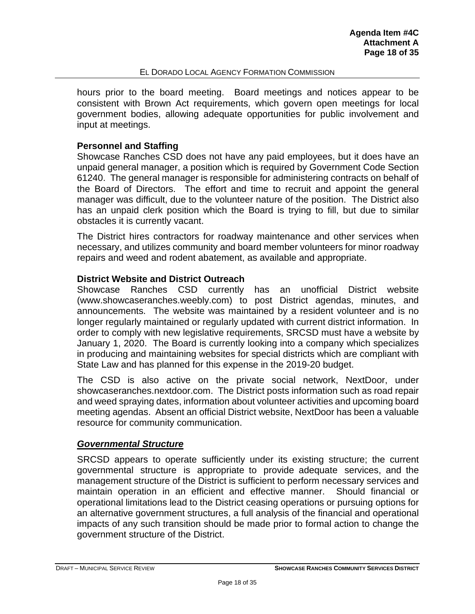hours prior to the board meeting. Board meetings and notices appear to be consistent with Brown Act requirements, which govern open meetings for local government bodies, allowing adequate opportunities for public involvement and input at meetings.

### **Personnel and Staffing**

Showcase Ranches CSD does not have any paid employees, but it does have an unpaid general manager, a position which is required by Government Code Section 61240. The general manager is responsible for administering contracts on behalf of the Board of Directors. The effort and time to recruit and appoint the general manager was difficult, due to the volunteer nature of the position. The District also has an unpaid clerk position which the Board is trying to fill, but due to similar obstacles it is currently vacant.

The District hires contractors for roadway maintenance and other services when necessary, and utilizes community and board member volunteers for minor roadway repairs and weed and rodent abatement, as available and appropriate.

#### **District Website and District Outreach**

Showcase Ranches CSD currently has an unofficial District website [\(www.showcaseranches.weebly.com\)](http://www.showcaseranches.weebly.com/) to post District agendas, minutes, and announcements. The website was maintained by a resident volunteer and is no longer regularly maintained or regularly updated with current district information. In order to comply with new legislative requirements, SRCSD must have a website by January 1, 2020. The Board is currently looking into a company which specializes in producing and maintaining websites for special districts which are compliant with State Law and has planned for this expense in the 2019-20 budget.

The CSD is also active on the private social network, NextDoor, under showcaseranches.nextdoor.com. The District posts information such as road repair and weed spraying dates, information about volunteer activities and upcoming board meeting agendas. Absent an official District website, NextDoor has been a valuable resource for community communication.

#### *Governmental Structure*

SRCSD appears to operate sufficiently under its existing structure; the current governmental structure is appropriate to provide adequate services, and the management structure of the District is sufficient to perform necessary services and maintain operation in an efficient and effective manner. Should financial or operational limitations lead to the District ceasing operations or pursuing options for an alternative government structures, a full analysis of the financial and operational impacts of any such transition should be made prior to formal action to change the government structure of the District.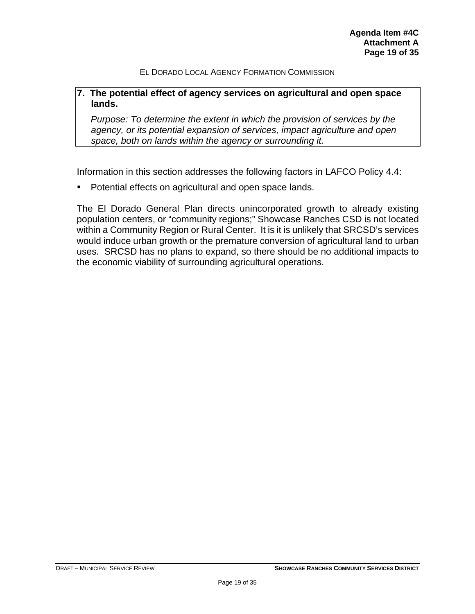#### **7. The potential effect of agency services on agricultural and open space lands.**

*Purpose: To determine the extent in which the provision of services by the agency, or its potential expansion of services, impact agriculture and open space, both on lands within the agency or surrounding it.*

Information in this section addresses the following factors in LAFCO Policy 4.4:

**Potential effects on agricultural and open space lands.** 

The El Dorado General Plan directs unincorporated growth to already existing population centers, or "community regions;" Showcase Ranches CSD is not located within a Community Region or Rural Center. It is it is unlikely that SRCSD's services would induce urban growth or the premature conversion of agricultural land to urban uses. SRCSD has no plans to expand, so there should be no additional impacts to the economic viability of surrounding agricultural operations.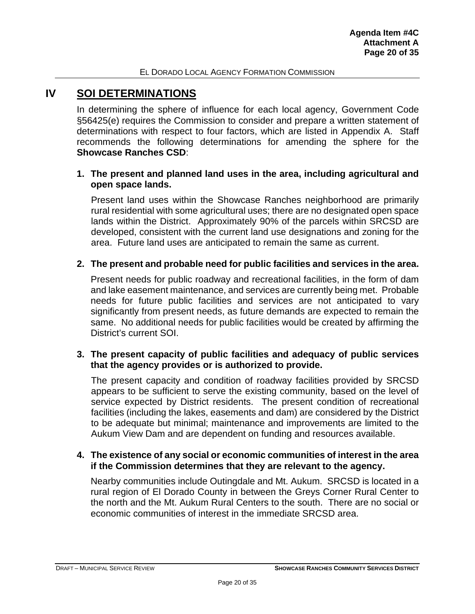## <span id="page-19-0"></span>**IV SOI DETERMINATIONS**

In determining the sphere of influence for each local agency, Government Code §56425(e) requires the Commission to consider and prepare a written statement of determinations with respect to four factors, which are listed in Appendix A. Staff recommends the following determinations for amending the sphere for the **Showcase Ranches CSD**:

#### **1. The present and planned land uses in the area, including agricultural and open space lands.**

Present land uses within the Showcase Ranches neighborhood are primarily rural residential with some agricultural uses; there are no designated open space lands within the District. Approximately 90% of the parcels within SRCSD are developed, consistent with the current land use designations and zoning for the area. Future land uses are anticipated to remain the same as current.

#### **2. The present and probable need for public facilities and services in the area.**

Present needs for public roadway and recreational facilities, in the form of dam and lake easement maintenance, and services are currently being met. Probable needs for future public facilities and services are not anticipated to vary significantly from present needs, as future demands are expected to remain the same. No additional needs for public facilities would be created by affirming the District's current SOI.

#### **3. The present capacity of public facilities and adequacy of public services that the agency provides or is authorized to provide.**

The present capacity and condition of roadway facilities provided by SRCSD appears to be sufficient to serve the existing community, based on the level of service expected by District residents. The present condition of recreational facilities (including the lakes, easements and dam) are considered by the District to be adequate but minimal; maintenance and improvements are limited to the Aukum View Dam and are dependent on funding and resources available.

#### **4. The existence of any social or economic communities of interest in the area if the Commission determines that they are relevant to the agency.**

Nearby communities include Outingdale and Mt. Aukum. SRCSD is located in a rural region of El Dorado County in between the Greys Corner Rural Center to the north and the Mt. Aukum Rural Centers to the south. There are no social or economic communities of interest in the immediate SRCSD area.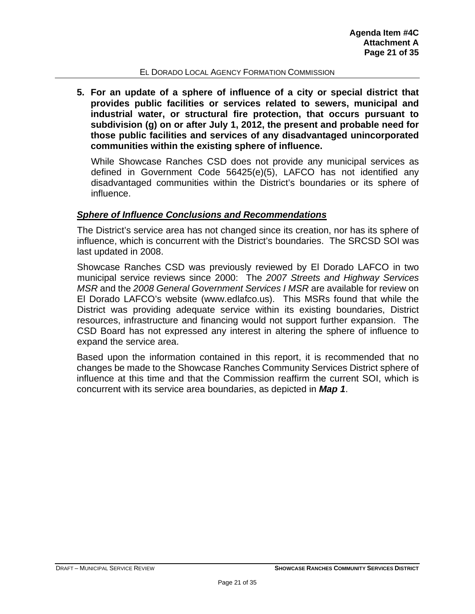**5. For an update of a sphere of influence of a city or special district that provides public facilities or services related to sewers, municipal and industrial water, or structural fire protection, that occurs pursuant to subdivision (g) on or after July 1, 2012, the present and probable need for those public facilities and services of any disadvantaged unincorporated communities within the existing sphere of influence.**

While Showcase Ranches CSD does not provide any municipal services as defined in Government Code 56425(e)(5), LAFCO has not identified any disadvantaged communities within the District's boundaries or its sphere of influence.

#### *Sphere of Influence Conclusions and Recommendations*

The District's service area has not changed since its creation, nor has its sphere of influence, which is concurrent with the District's boundaries. The SRCSD SOI was last updated in 2008.

Showcase Ranches CSD was previously reviewed by El Dorado LAFCO in two municipal service reviews since 2000: The *2007 Streets and Highway Services MSR* and the *2008 General Government Services I MSR* are available for review on El Dorado LAFCO's website (www.edlafco.us). This MSRs found that while the District was providing adequate service within its existing boundaries, District resources, infrastructure and financing would not support further expansion. The CSD Board has not expressed any interest in altering the sphere of influence to expand the service area.

Based upon the information contained in this report, it is recommended that no changes be made to the Showcase Ranches Community Services District sphere of influence at this time and that the Commission reaffirm the current SOI, which is concurrent with its service area boundaries, as depicted in *Map 1*.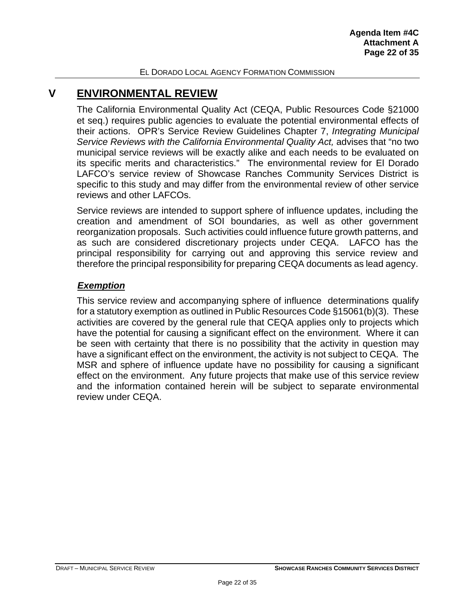## <span id="page-21-0"></span>**V ENVIRONMENTAL REVIEW**

The California Environmental Quality Act (CEQA, Public Resources Code §21000 et seq.) requires public agencies to evaluate the potential environmental effects of their actions. OPR's Service Review Guidelines Chapter 7, *Integrating Municipal Service Reviews with the California Environmental Quality Act,* advises that "no two municipal service reviews will be exactly alike and each needs to be evaluated on its specific merits and characteristics." The environmental review for El Dorado LAFCO's service review of Showcase Ranches Community Services District is specific to this study and may differ from the environmental review of other service reviews and other LAFCOs.

Service reviews are intended to support sphere of influence updates, including the creation and amendment of SOI boundaries, as well as other government reorganization proposals. Such activities could influence future growth patterns, and as such are considered discretionary projects under CEQA. LAFCO has the principal responsibility for carrying out and approving this service review and therefore the principal responsibility for preparing CEQA documents as lead agency.

#### *Exemption*

This service review and accompanying sphere of influence determinations qualify for a statutory exemption as outlined in Public Resources Code §15061(b)(3). These activities are covered by the general rule that CEQA applies only to projects which have the potential for causing a significant effect on the environment. Where it can be seen with certainty that there is no possibility that the activity in question may have a significant effect on the environment, the activity is not subject to CEQA. The MSR and sphere of influence update have no possibility for causing a significant effect on the environment. Any future projects that make use of this service review and the information contained herein will be subject to separate environmental review under CEQA.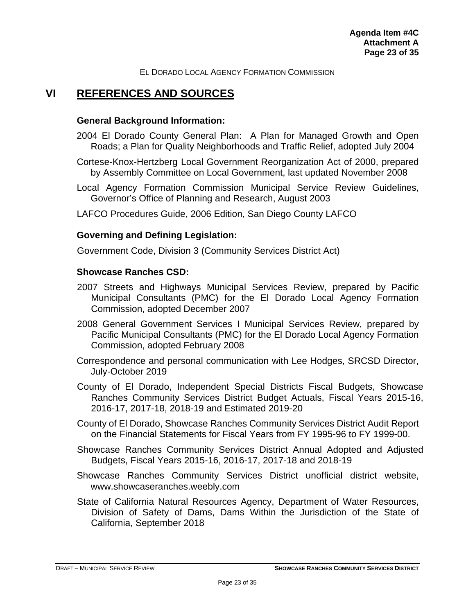## <span id="page-22-0"></span>**VI REFERENCES AND SOURCES**

#### **General Background Information:**

- 2004 El Dorado County General Plan: A Plan for Managed Growth and Open Roads; a Plan for Quality Neighborhoods and Traffic Relief, adopted July 2004
- Cortese-Knox-Hertzberg Local Government Reorganization Act of 2000, prepared by Assembly Committee on Local Government, last updated November 2008
- Local Agency Formation Commission Municipal Service Review Guidelines, Governor's Office of Planning and Research, August 2003
- LAFCO Procedures Guide, 2006 Edition, San Diego County LAFCO

#### **Governing and Defining Legislation:**

Government Code, Division 3 (Community Services District Act)

#### **Showcase Ranches CSD:**

- 2007 Streets and Highways Municipal Services Review, prepared by Pacific Municipal Consultants (PMC) for the El Dorado Local Agency Formation Commission, adopted December 2007
- 2008 General Government Services I Municipal Services Review, prepared by Pacific Municipal Consultants (PMC) for the El Dorado Local Agency Formation Commission, adopted February 2008
- Correspondence and personal communication with Lee Hodges, SRCSD Director, July-October 2019
- County of El Dorado, Independent Special Districts Fiscal Budgets, Showcase Ranches Community Services District Budget Actuals, Fiscal Years 2015-16, 2016-17, 2017-18, 2018-19 and Estimated 2019-20
- County of El Dorado, Showcase Ranches Community Services District Audit Report on the Financial Statements for Fiscal Years from FY 1995-96 to FY 1999-00.
- Showcase Ranches Community Services District Annual Adopted and Adjusted Budgets, Fiscal Years 2015-16, 2016-17, 2017-18 and 2018-19
- Showcase Ranches Community Services District unofficial district website, [www.showcaseranches.weebly.com](http://www.showcaseranches.weebly.com/)
- State of California Natural Resources Agency, Department of Water Resources, Division of Safety of Dams, Dams Within the Jurisdiction of the State of California, September 2018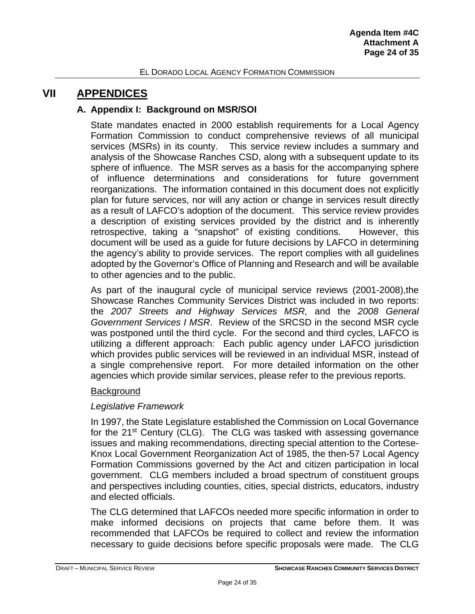## <span id="page-23-1"></span><span id="page-23-0"></span>**VII APPENDICES**

### **A. Appendix I: Background on MSR/SOI**

State mandates enacted in 2000 establish requirements for a Local Agency Formation Commission to conduct comprehensive reviews of all municipal services (MSRs) in its county. This service review includes a summary and analysis of the Showcase Ranches CSD, along with a subsequent update to its sphere of influence. The MSR serves as a basis for the accompanying sphere of influence determinations and considerations for future government reorganizations. The information contained in this document does not explicitly plan for future services, nor will any action or change in services result directly as a result of LAFCO's adoption of the document. This service review provides a description of existing services provided by the district and is inherently retrospective, taking a "snapshot" of existing conditions. However, this document will be used as a guide for future decisions by LAFCO in determining the agency's ability to provide services. The report complies with all guidelines adopted by the Governor's Office of Planning and Research and will be available to other agencies and to the public.

As part of the inaugural cycle of municipal service reviews (2001-2008),the Showcase Ranches Community Services District was included in two reports: the *2007 Streets and Highway Services MSR,* and the *2008 General Government Services I MSR*. Review of the SRCSD in the second MSR cycle was postponed until the third cycle. For the second and third cycles, LAFCO is utilizing a different approach: Each public agency under LAFCO jurisdiction which provides public services will be reviewed in an individual MSR, instead of a single comprehensive report. For more detailed information on the other agencies which provide similar services, please refer to the previous reports.

#### **Background**

## *Legislative Framework*

In 1997, the State Legislature established the Commission on Local Governance for the 21<sup>st</sup> Century (CLG). The CLG was tasked with assessing governance issues and making recommendations, directing special attention to the Cortese-Knox Local Government Reorganization Act of 1985, the then-57 Local Agency Formation Commissions governed by the Act and citizen participation in local government. CLG members included a broad spectrum of constituent groups and perspectives including counties, cities, special districts, educators, industry and elected officials.

The CLG determined that LAFCOs needed more specific information in order to make informed decisions on projects that came before them. It was recommended that LAFCOs be required to collect and review the information necessary to guide decisions before specific proposals were made. The CLG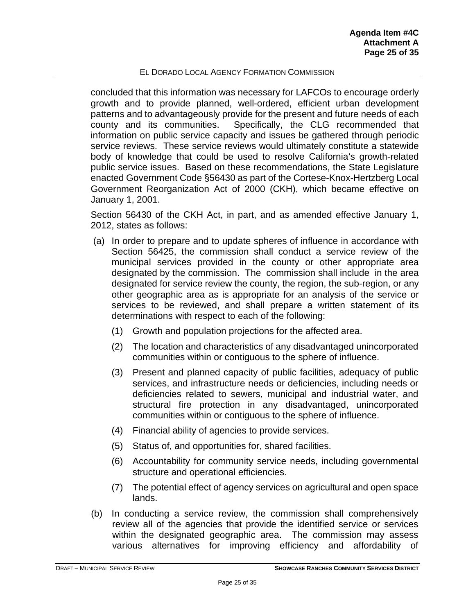concluded that this information was necessary for LAFCOs to encourage orderly growth and to provide planned, well-ordered, efficient urban development patterns and to advantageously provide for the present and future needs of each county and its communities. Specifically, the CLG recommended that information on public service capacity and issues be gathered through periodic service reviews. These service reviews would ultimately constitute a statewide body of knowledge that could be used to resolve California's growth-related public service issues. Based on these recommendations, the State Legislature enacted Government Code §56430 as part of the Cortese-Knox-Hertzberg Local Government Reorganization Act of 2000 (CKH), which became effective on January 1, 2001.

Section 56430 of the CKH Act, in part, and as amended effective January 1, 2012, states as follows:

- (a) In order to prepare and to update spheres of influence in accordance with Section 56425, the commission shall conduct a service review of the municipal services provided in the county or other appropriate area designated by the commission. The commission shall include in the area designated for service review the county, the region, the sub-region, or any other geographic area as is appropriate for an analysis of the service or services to be reviewed, and shall prepare a written statement of its determinations with respect to each of the following:
	- (1) Growth and population projections for the affected area.
	- (2) The location and characteristics of any disadvantaged unincorporated communities within or contiguous to the sphere of influence.
	- (3) Present and planned capacity of public facilities, adequacy of public services, and infrastructure needs or deficiencies, including needs or deficiencies related to sewers, municipal and industrial water, and structural fire protection in any disadvantaged, unincorporated communities within or contiguous to the sphere of influence.
	- (4) Financial ability of agencies to provide services.
	- (5) Status of, and opportunities for, shared facilities.
	- (6) Accountability for community service needs, including governmental structure and operational efficiencies.
	- (7) The potential effect of agency services on agricultural and open space lands.
- (b) In conducting a service review, the commission shall comprehensively review all of the agencies that provide the identified service or services within the designated geographic area. The commission may assess various alternatives for improving efficiency and affordability of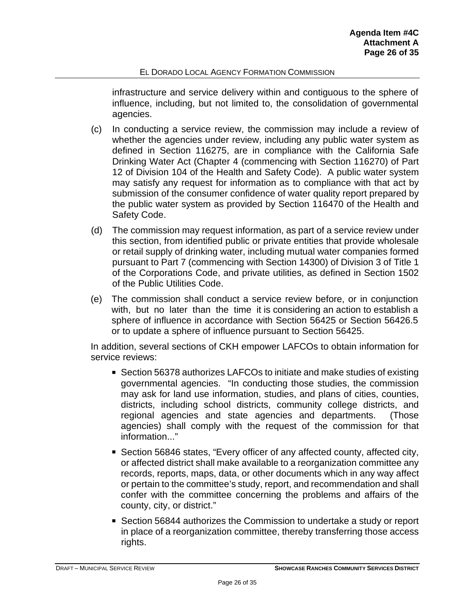infrastructure and service delivery within and contiguous to the sphere of influence, including, but not limited to, the consolidation of governmental agencies.

- (c) In conducting a service review, the commission may include a review of whether the agencies under review, including any public water system as defined in Section 116275, are in compliance with the California Safe Drinking Water Act (Chapter 4 (commencing with Section 116270) of Part 12 of Division 104 of the Health and Safety Code). A public water system may satisfy any request for information as to compliance with that act by submission of the consumer confidence of water quality report prepared by the public water system as provided by Section 116470 of the Health and Safety Code.
- (d) The commission may request information, as part of a service review under this section, from identified public or private entities that provide wholesale or retail supply of drinking water, including mutual water companies formed pursuant to Part 7 (commencing with Section 14300) of Division 3 of Title 1 of the Corporations Code, and private utilities, as defined in Section 1502 of the Public Utilities Code.
- (e) The commission shall conduct a service review before, or in conjunction with, but no later than the time it is considering an action to establish a sphere of influence in accordance with Section 56425 or Section 56426.5 or to update a sphere of influence pursuant to Section 56425.

In addition, several sections of CKH empower LAFCOs to obtain information for service reviews:

- Section 56378 authorizes LAFCOs to initiate and make studies of existing governmental agencies. "In conducting those studies, the commission may ask for land use information, studies, and plans of cities, counties, districts, including school districts, community college districts, and regional agencies and state agencies and departments. (Those agencies) shall comply with the request of the commission for that information..."
- Section 56846 states, "Every officer of any affected county, affected city, or affected district shall make available to a reorganization committee any records, reports, maps, data, or other documents which in any way affect or pertain to the committee's study, report, and recommendation and shall confer with the committee concerning the problems and affairs of the county, city, or district."
- **Section 56844 authorizes the Commission to undertake a study or report** in place of a reorganization committee, thereby transferring those access rights.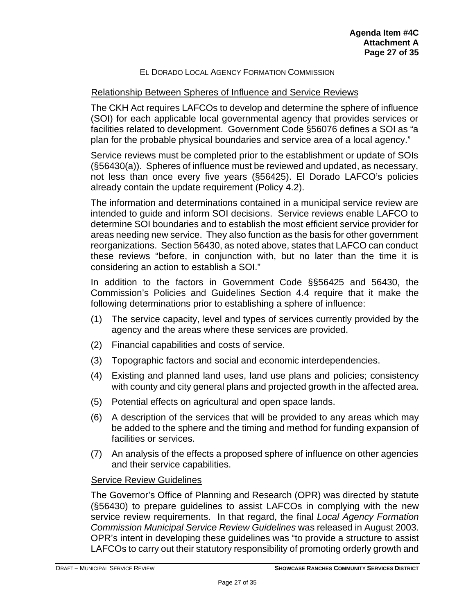#### Relationship Between Spheres of Influence and Service Reviews

The CKH Act requires LAFCOs to develop and determine the sphere of influence (SOI) for each applicable local governmental agency that provides services or facilities related to development. Government Code §56076 defines a SOI as "a plan for the probable physical boundaries and service area of a local agency."

Service reviews must be completed prior to the establishment or update of SOIs (§56430(a)). Spheres of influence must be reviewed and updated, as necessary, not less than once every five years (§56425). El Dorado LAFCO's policies already contain the update requirement (Policy 4.2).

The information and determinations contained in a municipal service review are intended to guide and inform SOI decisions. Service reviews enable LAFCO to determine SOI boundaries and to establish the most efficient service provider for areas needing new service. They also function as the basis for other government reorganizations. Section 56430, as noted above, states that LAFCO can conduct these reviews "before, in conjunction with, but no later than the time it is considering an action to establish a SOI."

In addition to the factors in Government Code §§56425 and 56430, the Commission's Policies and Guidelines Section 4.4 require that it make the following determinations prior to establishing a sphere of influence:

- (1) The service capacity, level and types of services currently provided by the agency and the areas where these services are provided.
- (2) Financial capabilities and costs of service.
- (3) Topographic factors and social and economic interdependencies.
- (4) Existing and planned land uses, land use plans and policies; consistency with county and city general plans and projected growth in the affected area.
- (5) Potential effects on agricultural and open space lands.
- (6) A description of the services that will be provided to any areas which may be added to the sphere and the timing and method for funding expansion of facilities or services.
- (7) An analysis of the effects a proposed sphere of influence on other agencies and their service capabilities.

#### Service Review Guidelines

The Governor's Office of Planning and Research (OPR) was directed by statute (§56430) to prepare guidelines to assist LAFCOs in complying with the new service review requirements. In that regard, the final *Local Agency Formation Commission Municipal Service Review Guidelines* was released in August 2003. OPR's intent in developing these guidelines was "to provide a structure to assist LAFCOs to carry out their statutory responsibility of promoting orderly growth and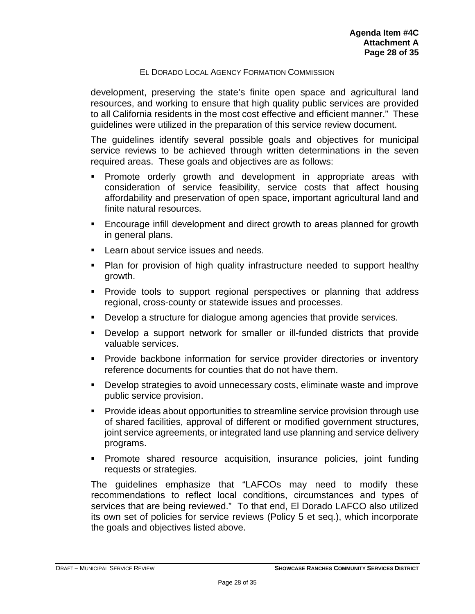development, preserving the state's finite open space and agricultural land resources, and working to ensure that high quality public services are provided to all California residents in the most cost effective and efficient manner." These guidelines were utilized in the preparation of this service review document.

The guidelines identify several possible goals and objectives for municipal service reviews to be achieved through written determinations in the seven required areas. These goals and objectives are as follows:

- Promote orderly growth and development in appropriate areas with consideration of service feasibility, service costs that affect housing affordability and preservation of open space, important agricultural land and finite natural resources.
- Encourage infill development and direct growth to areas planned for growth in general plans.
- **Learn about service issues and needs.**
- Plan for provision of high quality infrastructure needed to support healthy growth.
- Provide tools to support regional perspectives or planning that address regional, cross-county or statewide issues and processes.
- Develop a structure for dialogue among agencies that provide services.
- Develop a support network for smaller or ill-funded districts that provide valuable services.
- **Provide backbone information for service provider directories or inventory** reference documents for counties that do not have them.
- Develop strategies to avoid unnecessary costs, eliminate waste and improve public service provision.
- **Provide ideas about opportunities to streamline service provision through use** of shared facilities, approval of different or modified government structures, joint service agreements, or integrated land use planning and service delivery programs.
- **Promote shared resource acquisition, insurance policies, joint funding** requests or strategies.

The guidelines emphasize that "LAFCOs may need to modify these recommendations to reflect local conditions, circumstances and types of services that are being reviewed." To that end, El Dorado LAFCO also utilized its own set of policies for service reviews (Policy 5 et seq.), which incorporate the goals and objectives listed above.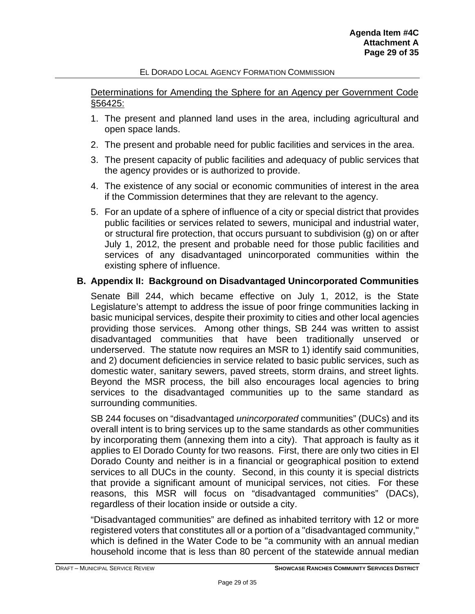Determinations for Amending the Sphere for an Agency per Government Code §56425:

- 1. The present and planned land uses in the area, including agricultural and open space lands.
- 2. The present and probable need for public facilities and services in the area.
- 3. The present capacity of public facilities and adequacy of public services that the agency provides or is authorized to provide.
- 4. The existence of any social or economic communities of interest in the area if the Commission determines that they are relevant to the agency.
- 5. For an update of a sphere of influence of a city or special district that provides public facilities or services related to sewers, municipal and industrial water, or structural fire protection, that occurs pursuant to subdivision (g) on or after July 1, 2012, the present and probable need for those public facilities and services of any disadvantaged unincorporated communities within the existing sphere of influence.

## <span id="page-28-0"></span>**B. Appendix II: Background on Disadvantaged Unincorporated Communities**

Senate Bill 244, which became effective on July 1, 2012, is the State Legislature's attempt to address the issue of poor fringe communities lacking in basic municipal services, despite their proximity to cities and other local agencies providing those services. Among other things, SB 244 was written to assist disadvantaged communities that have been traditionally unserved or underserved. The statute now requires an MSR to 1) identify said communities, and 2) document deficiencies in service related to basic public services, such as domestic water, sanitary sewers, paved streets, storm drains, and street lights. Beyond the MSR process, the bill also encourages local agencies to bring services to the disadvantaged communities up to the same standard as surrounding communities.

SB 244 focuses on "disadvantaged *unincorporated* communities" (DUCs) and its overall intent is to bring services up to the same standards as other communities by incorporating them (annexing them into a city). That approach is faulty as it applies to El Dorado County for two reasons. First, there are only two cities in El Dorado County and neither is in a financial or geographical position to extend services to all DUCs in the county. Second, in this county it is special districts that provide a significant amount of municipal services, not cities. For these reasons, this MSR will focus on "disadvantaged communities" (DACs), regardless of their location inside or outside a city.

"Disadvantaged communities" are defined as inhabited territory with 12 or more registered voters that constitutes all or a portion of a "disadvantaged community," which is defined in the Water Code to be "a community with an annual median household income that is less than 80 percent of the statewide annual median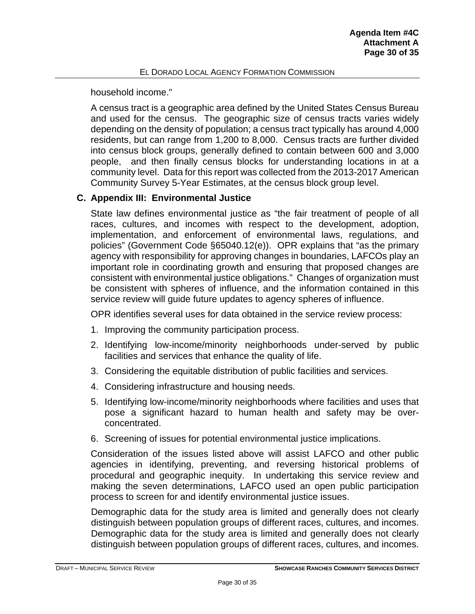household income."

A census tract is a geographic area defined by the United States Census Bureau and used for the census. The geographic size of census tracts varies widely depending on the density of population; a census tract typically has around 4,000 residents, but can range from 1,200 to 8,000. Census tracts are further divided into census block groups, generally defined to contain between 600 and 3,000 people, and then finally census blocks for understanding locations in at a community level. Data for this report was collected from the 2013-2017 American Community Survey 5-Year Estimates, at the census block group level.

## <span id="page-29-0"></span>**C. Appendix III: Environmental Justice**

State law defines environmental justice as "the fair treatment of people of all races, cultures, and incomes with respect to the development, adoption, implementation, and enforcement of environmental laws, regulations, and policies" (Government Code §65040.12(e)). OPR explains that "as the primary agency with responsibility for approving changes in boundaries, LAFCOs play an important role in coordinating growth and ensuring that proposed changes are consistent with environmental justice obligations." Changes of organization must be consistent with spheres of influence, and the information contained in this service review will guide future updates to agency spheres of influence.

OPR identifies several uses for data obtained in the service review process:

- 1. Improving the community participation process.
- 2. Identifying low-income/minority neighborhoods under-served by public facilities and services that enhance the quality of life.
- 3. Considering the equitable distribution of public facilities and services.
- 4. Considering infrastructure and housing needs.
- 5. Identifying low-income/minority neighborhoods where facilities and uses that pose a significant hazard to human health and safety may be overconcentrated.
- 6. Screening of issues for potential environmental justice implications.

Consideration of the issues listed above will assist LAFCO and other public agencies in identifying, preventing, and reversing historical problems of procedural and geographic inequity. In undertaking this service review and making the seven determinations, LAFCO used an open public participation process to screen for and identify environmental justice issues.

Demographic data for the study area is limited and generally does not clearly distinguish between population groups of different races, cultures, and incomes. Demographic data for the study area is limited and generally does not clearly distinguish between population groups of different races, cultures, and incomes.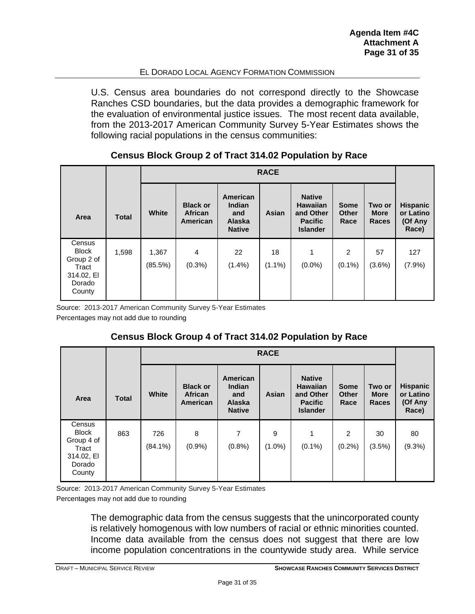U.S. Census area boundaries do not correspond directly to the Showcase Ranches CSD boundaries, but the data provides a demographic framework for the evaluation of environmental justice issues. The most recent data available, from the 2013-2017 American Community Survey 5-Year Estimates shows the following racial populations in the census communities:

|                                                                                 | <b>RACE</b>  |                  |                                               |                                                                    |                 |                                                                                    |                                     |                                |                                                  |
|---------------------------------------------------------------------------------|--------------|------------------|-----------------------------------------------|--------------------------------------------------------------------|-----------------|------------------------------------------------------------------------------------|-------------------------------------|--------------------------------|--------------------------------------------------|
| Area                                                                            | <b>Total</b> | <b>White</b>     | <b>Black or</b><br><b>African</b><br>American | American<br><b>Indian</b><br>and<br><b>Alaska</b><br><b>Native</b> | Asian           | <b>Native</b><br><b>Hawaiian</b><br>and Other<br><b>Pacific</b><br><b>Islander</b> | <b>Some</b><br><b>Other</b><br>Race | Two or<br><b>More</b><br>Races | <b>Hispanic</b><br>or Latino<br>(Of Any<br>Race) |
| Census<br><b>Block</b><br>Group 2 of<br>Tract<br>314.02, EI<br>Dorado<br>County | 1,598        | 1,367<br>(85.5%) | $\overline{4}$<br>$(0.3\%)$                   | 22<br>$(1.4\%)$                                                    | 18<br>$(1.1\%)$ | 1<br>$(0.0\%)$                                                                     | $\overline{2}$<br>$(0.1\%)$         | 57<br>$(3.6\%)$                | 127<br>(7.9%)                                    |

## **Census Block Group 2 of Tract 314.02 Population by Race**

Source: 2013-2017 American Community Survey 5-Year Estimates

Percentages may not add due to rounding

## **Census Block Group 4 of Tract 314.02 Population by Race**

|                                               | <b>RACE</b>  |                |                                               |                                                                    |                |                                                                                    |                                     |                                       |                                                  |
|-----------------------------------------------|--------------|----------------|-----------------------------------------------|--------------------------------------------------------------------|----------------|------------------------------------------------------------------------------------|-------------------------------------|---------------------------------------|--------------------------------------------------|
| Area                                          | <b>Total</b> | <b>White</b>   | <b>Black or</b><br><b>African</b><br>American | American<br><b>Indian</b><br>and<br><b>Alaska</b><br><b>Native</b> | Asian          | <b>Native</b><br><b>Hawaiian</b><br>and Other<br><b>Pacific</b><br><b>Islander</b> | <b>Some</b><br><b>Other</b><br>Race | Two or<br><b>More</b><br><b>Races</b> | <b>Hispanic</b><br>or Latino<br>(Of Any<br>Race) |
| Census<br><b>Block</b><br>Group 4 of<br>Tract | 863          | 726<br>(84.1%) | 8<br>$(0.9\%)$                                | 7<br>$(0.8\%)$                                                     | 9<br>$(1.0\%)$ | 1<br>$(0.1\%)$                                                                     | 2<br>(0.2%)                         | 30<br>(3.5%)                          | 80<br>(9.3%)                                     |
| 314.02, EI<br>Dorado<br>County                |              |                |                                               |                                                                    |                |                                                                                    |                                     |                                       |                                                  |

<span id="page-30-0"></span>Source: 2013-2017 American Community Survey 5-Year Estimates Percentages may not add due to rounding

> The demographic data from the census suggests that the unincorporated county is relatively homogenous with low numbers of racial or ethnic minorities counted. Income data available from the census does not suggest that there are low income population concentrations in the countywide study area. While service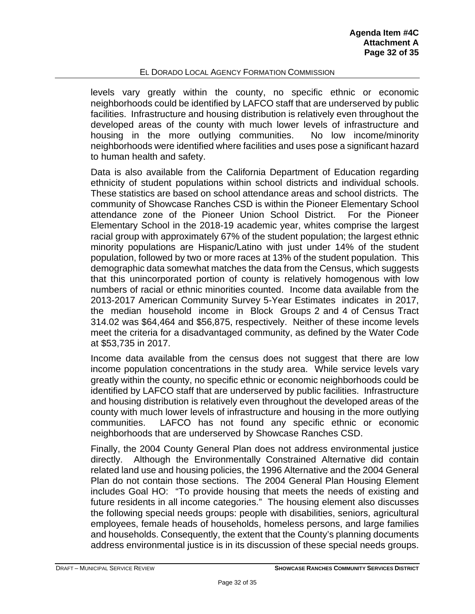levels vary greatly within the county, no specific ethnic or economic neighborhoods could be identified by LAFCO staff that are underserved by public facilities. Infrastructure and housing distribution is relatively even throughout the developed areas of the county with much lower levels of infrastructure and housing in the more outlying communities. No low income/minority neighborhoods were identified where facilities and uses pose a significant hazard to human health and safety.

Data is also available from the California Department of Education regarding ethnicity of student populations within school districts and individual schools. These statistics are based on school attendance areas and school districts. The community of Showcase Ranches CSD is within the Pioneer Elementary School attendance zone of the Pioneer Union School District. For the Pioneer Elementary School in the 2018-19 academic year, whites comprise the largest racial group with approximately 67% of the student population; the largest ethnic minority populations are Hispanic/Latino with just under 14% of the student population, followed by two or more races at 13% of the student population. This demographic data somewhat matches the data from the Census, which suggests that this unincorporated portion of county is relatively homogenous with low numbers of racial or ethnic minorities counted. Income data available from the 2013-2017 American Community Survey 5-Year Estimates indicates in 2017, the median household income in Block Groups 2 and 4 of Census Tract 314.02 was \$64,464 and \$56,875, respectively. Neither of these income levels meet the criteria for a disadvantaged community, as defined by the Water Code at \$53,735 in 2017.

Income data available from the census does not suggest that there are low income population concentrations in the study area. While service levels vary greatly within the county, no specific ethnic or economic neighborhoods could be identified by LAFCO staff that are underserved by public facilities. Infrastructure and housing distribution is relatively even throughout the developed areas of the county with much lower levels of infrastructure and housing in the more outlying communities. LAFCO has not found any specific ethnic or economic neighborhoods that are underserved by Showcase Ranches CSD.

Finally, the 2004 County General Plan does not address environmental justice directly. Although the Environmentally Constrained Alternative did contain related land use and housing policies, the 1996 Alternative and the 2004 General Plan do not contain those sections. The 2004 General Plan Housing Element includes Goal HO: "To provide housing that meets the needs of existing and future residents in all income categories." The housing element also discusses the following special needs groups: people with disabilities, seniors, agricultural employees, female heads of households, homeless persons, and large families and households. Consequently, the extent that the County's planning documents address environmental justice is in its discussion of these special needs groups.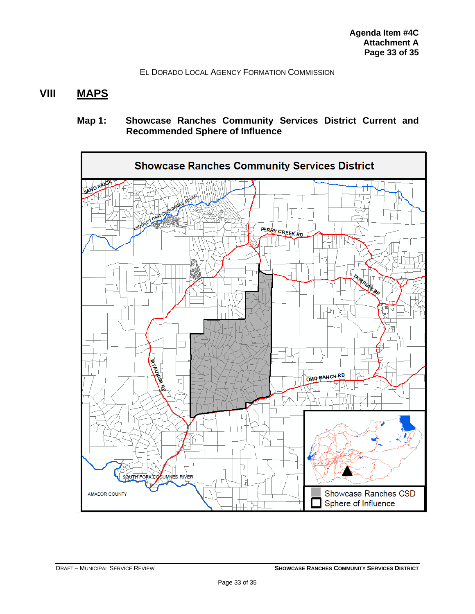## **VIII MAPS**

## **Map 1: Showcase Ranches Community Services District Current and Recommended Sphere of Influence**

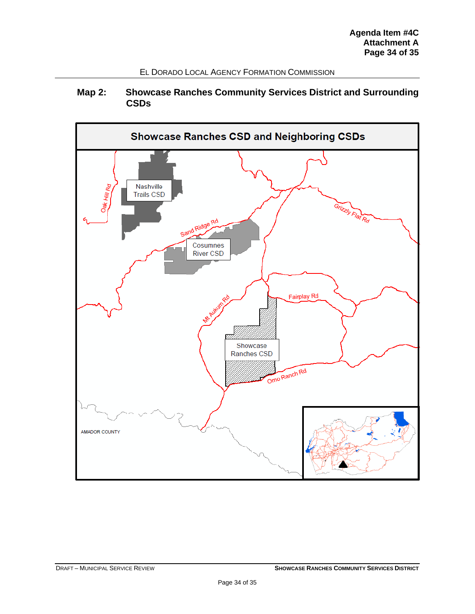## **Map 2: Showcase Ranches Community Services District and Surrounding CSDs**